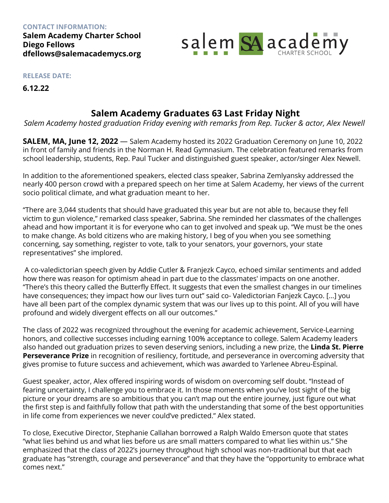**CONTACT INFORMATION: Salem Academy Charter School Diego Fellows dfellows@salemacademycs.org**



**RELEASE DATE:**

**6.12.22**

## **Salem Academy Graduates 63 Last Friday Night**

*Salem Academy hosted graduation Friday evening with remarks from Rep. Tucker & actor, Alex Newell*

**SALEM, MA, June 12, 2022** — Salem Academy hosted its 2022 Graduation Ceremony on June 10, 2022 in front of family and friends in the Norman H. Read Gymnasium. The celebration featured remarks from school leadership, students, Rep. Paul Tucker and distinguished guest speaker, actor/singer Alex Newell.

In addition to the aforementioned speakers, elected class speaker, Sabrina Zemlyansky addressed the nearly 400 person crowd with a prepared speech on her time at Salem Academy, her views of the current socio political climate, and what graduation meant to her.

"There are 3,044 students that should have graduated this year but are not able to, because they fell victim to gun violence," remarked class speaker, Sabrina. She reminded her classmates of the challenges ahead and how important it is for everyone who can to get involved and speak up. "We must be the ones to make change. As bold citizens who are making history, I beg of you when you see something concerning, say something, register to vote, talk to your senators, your governors, your state representatives" she implored.

A co-valedictorian speech given by Addie Cutler & Franjezk Cayco, echoed similar sentiments and added how there was reason for optimism ahead in part due to the classmates' impacts on one another. "There's this theory called the Butterfly Effect. It suggests that even the smallest changes in our timelines have consequences; they impact how our lives turn out" said co- Valedictorian Fanjezk Cayco. [...] you have all been part of the complex dynamic system that was our lives up to this point. All of you will have profound and widely divergent effects on all our outcomes."

The class of 2022 was recognized throughout the evening for academic achievement, Service-Learning honors, and collective successes including earning 100% acceptance to college. Salem Academy leaders also handed out graduation prizes to seven deserving seniors, including a new prize, the **Linda St. Pierre Perseverance Prize** in recognition of resiliency, fortitude, and perseverance in overcoming adversity that gives promise to future success and achievement, which was awarded to Yarlenee Abreu-Espinal.

Guest speaker, actor, Alex offered inspiring words of wisdom on overcoming self doubt. "Instead of fearing uncertainty, I challenge you to embrace it. In those moments when you've lost sight of the big picture or your dreams are so ambitious that you can't map out the entire journey, just figure out what the first step is and faithfully follow that path with the understanding that some of the best opportunities in life come from experiences we never could've predicted." Alex stated.

To close, Executive Director, Stephanie Callahan borrowed a Ralph Waldo Emerson quote that states "what lies behind us and what lies before us are small matters compared to what lies within us." She emphasized that the class of 2022's journey throughout high school was non-traditional but that each graduate has "strength, courage and perseverance" and that they have the "opportunity to embrace what comes next."